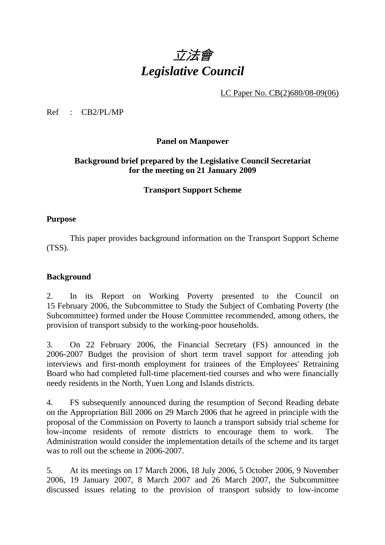# 立法會 *Legislative Council*

LC Paper No. CB(2)680/08-09(06)

Ref : CB2/PL/MP

#### **Panel on Manpower**

# **Background brief prepared by the Legislative Council Secretariat for the meeting on 21 January 2009**

# **Transport Support Scheme**

#### **Purpose**

1. This paper provides background information on the Transport Support Scheme (TSS).

## **Background**

2. In its Report on Working Poverty presented to the Council on 15 February 2006, the Subcommittee to Study the Subject of Combating Poverty (the Subcommittee) formed under the House Committee recommended, among others, the provision of transport subsidy to the working-poor households.

3. On 22 February 2006, the Financial Secretary (FS) announced in the 2006-2007 Budget the provision of short term travel support for attending job interviews and first-month employment for trainees of the Employees' Retraining Board who had completed full-time placement-tied courses and who were financially needy residents in the North, Yuen Long and Islands districts.

4. FS subsequently announced during the resumption of Second Reading debate on the Appropriation Bill 2006 on 29 March 2006 that he agreed in principle with the proposal of the Commission on Poverty to launch a transport subsidy trial scheme for low-income residents of remote districts to encourage them to work. The Administration would consider the implementation details of the scheme and its target was to roll out the scheme in 2006-2007.

5. At its meetings on 17 March 2006, 18 July 2006, 5 October 2006, 9 November 2006, 19 January 2007, 8 March 2007 and 26 March 2007, the Subcommittee discussed issues relating to the provision of transport subsidy to low-income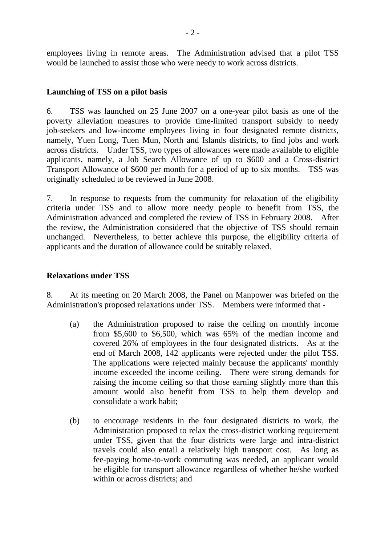employees living in remote areas. The Administration advised that a pilot TSS would be launched to assist those who were needy to work across districts.

# **Launching of TSS on a pilot basis**

6. TSS was launched on 25 June 2007 on a one-year pilot basis as one of the poverty alleviation measures to provide time-limited transport subsidy to needy job-seekers and low-income employees living in four designated remote districts, namely, Yuen Long, Tuen Mun, North and Islands districts, to find jobs and work across districts. Under TSS, two types of allowances were made available to eligible applicants, namely, a Job Search Allowance of up to \$600 and a Cross-district Transport Allowance of \$600 per month for a period of up to six months. TSS was originally scheduled to be reviewed in June 2008.

7. In response to requests from the community for relaxation of the eligibility criteria under TSS and to allow more needy people to benefit from TSS, the Administration advanced and completed the review of TSS in February 2008. After the review, the Administration considered that the objective of TSS should remain unchanged. Nevertheless, to better achieve this purpose, the eligibility criteria of applicants and the duration of allowance could be suitably relaxed.

# **Relaxations under TSS**

8. At its meeting on 20 March 2008, the Panel on Manpower was briefed on the Administration's proposed relaxations under TSS. Members were informed that -

- (a) the Administration proposed to raise the ceiling on monthly income from \$5,600 to \$6,500, which was 65% of the median income and covered 26% of employees in the four designated districts. As at the end of March 2008, 142 applicants were rejected under the pilot TSS. The applications were rejected mainly because the applicants' monthly income exceeded the income ceiling. There were strong demands for raising the income ceiling so that those earning slightly more than this amount would also benefit from TSS to help them develop and consolidate a work habit;
- (b) to encourage residents in the four designated districts to work, the Administration proposed to relax the cross-district working requirement under TSS, given that the four districts were large and intra-district travels could also entail a relatively high transport cost. As long as fee-paying home-to-work commuting was needed, an applicant would be eligible for transport allowance regardless of whether he/she worked within or across districts; and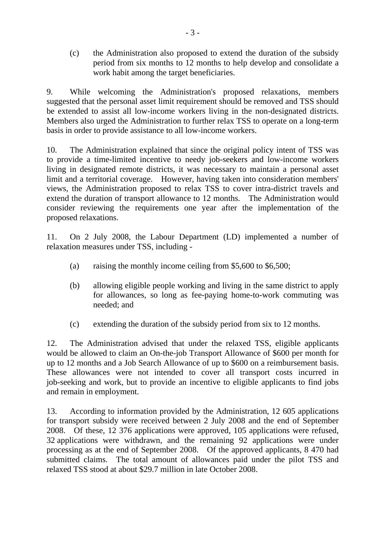(c) the Administration also proposed to extend the duration of the subsidy period from six months to 12 months to help develop and consolidate a work habit among the target beneficiaries.

9. While welcoming the Administration's proposed relaxations, members suggested that the personal asset limit requirement should be removed and TSS should be extended to assist all low-income workers living in the non-designated districts. Members also urged the Administration to further relax TSS to operate on a long-term basis in order to provide assistance to all low-income workers.

10. The Administration explained that since the original policy intent of TSS was to provide a time-limited incentive to needy job-seekers and low-income workers living in designated remote districts, it was necessary to maintain a personal asset limit and a territorial coverage. However, having taken into consideration members' views, the Administration proposed to relax TSS to cover intra-district travels and extend the duration of transport allowance to 12 months. The Administration would consider reviewing the requirements one year after the implementation of the proposed relaxations.

11. On 2 July 2008, the Labour Department (LD) implemented a number of relaxation measures under TSS, including -

- (a) raising the monthly income ceiling from \$5,600 to \$6,500;
- (b) allowing eligible people working and living in the same district to apply for allowances, so long as fee-paying home-to-work commuting was needed; and
- (c) extending the duration of the subsidy period from six to 12 months.

12. The Administration advised that under the relaxed TSS, eligible applicants would be allowed to claim an On-the-job Transport Allowance of \$600 per month for up to 12 months and a Job Search Allowance of up to \$600 on a reimbursement basis. These allowances were not intended to cover all transport costs incurred in job-seeking and work, but to provide an incentive to eligible applicants to find jobs and remain in employment.

13. According to information provided by the Administration, 12 605 applications for transport subsidy were received between 2 July 2008 and the end of September 2008. Of these, 12 376 applications were approved, 105 applications were refused, 32 applications were withdrawn, and the remaining 92 applications were under processing as at the end of September 2008. Of the approved applicants, 8 470 had submitted claims. The total amount of allowances paid under the pilot TSS and relaxed TSS stood at about \$29.7 million in late October 2008.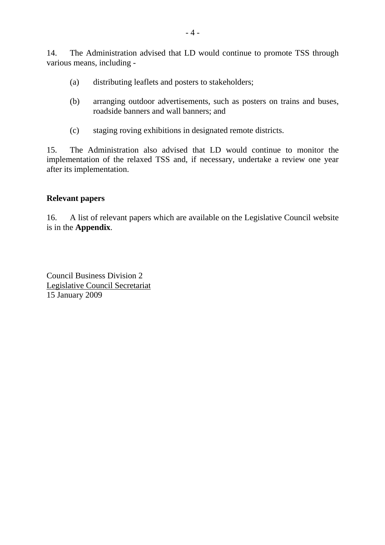14. The Administration advised that LD would continue to promote TSS through various means, including -

- (a) distributing leaflets and posters to stakeholders;
- (b) arranging outdoor advertisements, such as posters on trains and buses, roadside banners and wall banners; and
- (c) staging roving exhibitions in designated remote districts.

15. The Administration also advised that LD would continue to monitor the implementation of the relaxed TSS and, if necessary, undertake a review one year after its implementation.

#### **Relevant papers**

16. A list of relevant papers which are available on the Legislative Council website is in the **Appendix**.

Council Business Division 2 Legislative Council Secretariat 15 January 2009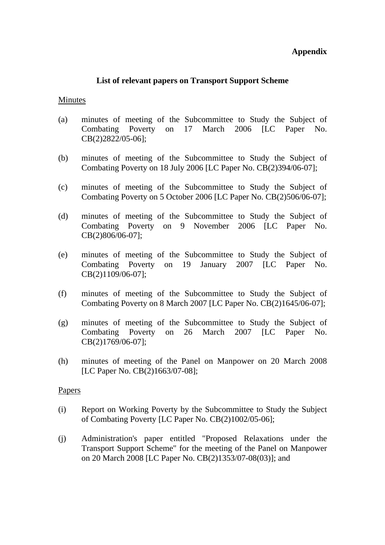# **Appendix**

#### **List of relevant papers on Transport Support Scheme**

#### Minutes

- (a) minutes of meeting of the Subcommittee to Study the Subject of Combating Poverty on 17 March 2006 [LC Paper No. CB(2)2822/05-06];
- (b) minutes of meeting of the Subcommittee to Study the Subject of Combating Poverty on 18 July 2006 [LC Paper No. CB(2)394/06-07];
- (c) minutes of meeting of the Subcommittee to Study the Subject of Combating Poverty on 5 October 2006 [LC Paper No. CB(2)506/06-07];
- (d) minutes of meeting of the Subcommittee to Study the Subject of Combating Poverty on 9 November 2006 [LC Paper No. CB(2)806/06-07];
- (e) minutes of meeting of the Subcommittee to Study the Subject of Combating Poverty on 19 January 2007 [LC Paper No. CB(2)1109/06-07];
- (f) minutes of meeting of the Subcommittee to Study the Subject of Combating Poverty on 8 March 2007 [LC Paper No. CB(2)1645/06-07];
- (g) minutes of meeting of the Subcommittee to Study the Subject of Combating Poverty on 26 March 2007 [LC Paper No. CB(2)1769/06-07];
- (h) minutes of meeting of the Panel on Manpower on 20 March 2008 [LC Paper No. CB(2)1663/07-08];

#### **Papers**

- (i) Report on Working Poverty by the Subcommittee to Study the Subject of Combating Poverty [LC Paper No. CB(2)1002/05-06];
- (j) Administration's paper entitled "Proposed Relaxations under the Transport Support Scheme" for the meeting of the Panel on Manpower on 20 March 2008 [LC Paper No. CB(2)1353/07-08(03)]; and